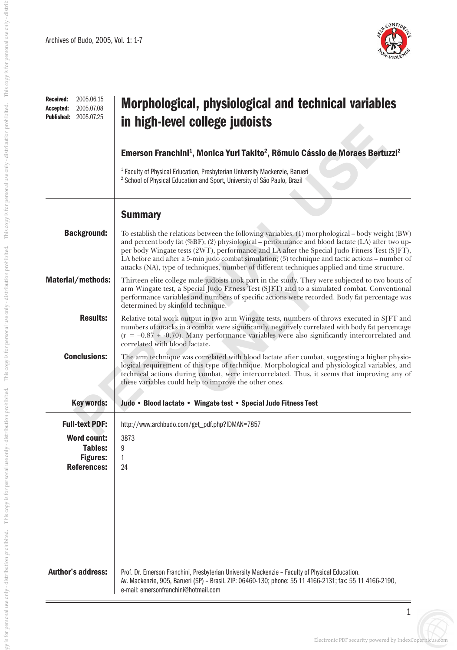

| 2005.06.15<br>Received:<br>2005.07.08<br>Accepted:<br>2005.07.25<br><b>Published:</b> | Morphological, physiological and technical variables<br>in high-level college judoists                                                                                                                                                                                                                                                                                                                                                                                                                   |
|---------------------------------------------------------------------------------------|----------------------------------------------------------------------------------------------------------------------------------------------------------------------------------------------------------------------------------------------------------------------------------------------------------------------------------------------------------------------------------------------------------------------------------------------------------------------------------------------------------|
|                                                                                       | Emerson Franchini <sup>1</sup> , Monica Yuri Takito <sup>2</sup> , Rômulo Cássio de Moraes Bertuzzi <sup>2</sup>                                                                                                                                                                                                                                                                                                                                                                                         |
|                                                                                       | <sup>1</sup> Faculty of Physical Education, Presbyterian University Mackenzie, Barueri<br><sup>2</sup> School of Physical Education and Sport, University of São Paulo, Brazil                                                                                                                                                                                                                                                                                                                           |
|                                                                                       | <b>Summary</b>                                                                                                                                                                                                                                                                                                                                                                                                                                                                                           |
| <b>Background:</b>                                                                    | To establish the relations between the following variables: (1) morphological – body weight (BW)<br>and percent body fat (%BF); (2) physiological – performance and blood lactate (LA) after two up-<br>per body Wingate tests (2WT), performance and LA after the Special Judo Fitness Test (SJFT),<br>LA before and after a 5-min judo combat simulation; (3) technique and tactic actions – number of<br>attacks (NA), type of techniques, number of different techniques applied and time structure. |
| Material/methods:                                                                     | Thirteen elite college male judoists took part in the study. They were subjected to two bouts of<br>arm Wingate test, a Special Judo Fitness Test (SJFT) and to a simulated combat. Conventional<br>performance variables and numbers of specific actions were recorded. Body fat percentage was<br>determined by skinfold technique.                                                                                                                                                                    |
| <b>Results:</b>                                                                       | Relative total work output in two arm Wingate tests, numbers of throws executed in SJFT and<br>numbers of attacks in a combat were significantly, negatively correlated with body fat percentage<br>$(r = -0.87 \div -0.70)$ . Many performance variables were also significantly intercorrelated and<br>correlated with blood lactate.                                                                                                                                                                  |
| <b>Conclusions:</b>                                                                   | The arm technique was correlated with blood lactate after combat, suggesting a higher physio-<br>logical requirement of this type of technique. Morphological and physiological variables, and<br>technical actions during combat, were intercorrelated. Thus, it seems that improving any of<br>these variables could help to improve the other ones.                                                                                                                                                   |
| <b>Key words:</b>                                                                     | Judo • Blood lactate • Wingate test • Special Judo Fitness Test                                                                                                                                                                                                                                                                                                                                                                                                                                          |
| <b>Full-text PDF:</b>                                                                 | http://www.archbudo.com/get_pdf.php?IDMAN=7857                                                                                                                                                                                                                                                                                                                                                                                                                                                           |
| <b>Word count:</b><br>Tables:<br><b>Figures:</b><br><b>References:</b>                | 3873<br>9<br>1<br>24                                                                                                                                                                                                                                                                                                                                                                                                                                                                                     |
| <b>Author's address:</b>                                                              | Prof. Dr. Emerson Franchini, Presbyterian University Mackenzie - Faculty of Physical Education.<br>Av. Mackenzie, 905, Barueri (SP) - Brasil. ZIP: 06460-130; phone: 55 11 4166-2131; fax: 55 11 4166-2190,<br>e-mail: emersonfranchini@hotmail.com                                                                                                                                                                                                                                                      |

 $\equiv$ 

1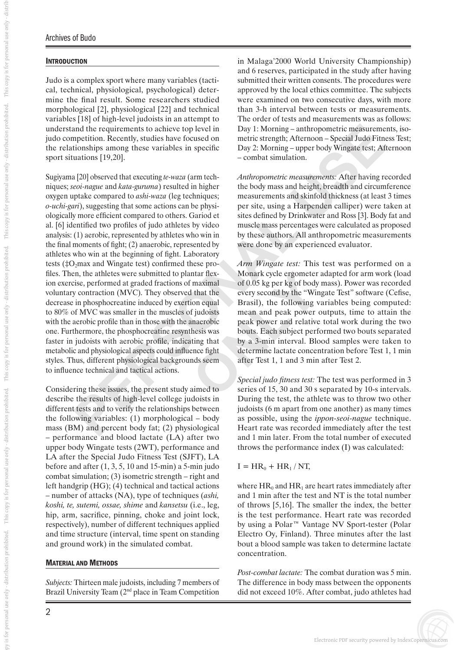## **INTRODUCTION**

Judo is a complex sport where many variables (tactical, technical, physiological, psychological) determine the final result. Some researchers studied morphological [2], physiological [22] and technical variables [18] of high-level judoists in an attempt to understand the requirements to achieve top level in judo competition. Recently, studies have focused on the relationships among these variables in specific sport situations [19,20].

and the equivements to achieve top level in<br>
Day 1: Morning – antronometic measurements, Afternoon-<br>
Prepertition, Recently, studies have focused on<br>
metric strength: Afternoon-Special Judo Finess 1<br>
Homis among these vari Sugiyama [20] observed that executing *te-waza* (arm tech niques; *seoi-nague* and *kata-guruma*) resulted in higher oxygen uptake compared to *ashi-waza* (leg techniques; *o-uchi-gari*), suggesting that some actions can be physi ologically more efficient compared to others. Gariod et al. [6] identified two profiles of judo athletes by video analysis: (1) aerobic, represented by athletes who win in the final moments of fight; (2) anaerobic, represented by athletes who win at the beginning of fight. Laboratory tests (‡O 2max and Wingate test) confirmed these pro files. Then, the athletes were submitted to plantar flex ion exercise, performed at graded fractions of maximal voluntary contraction (MVC). They observed that the decrease in phosphocreatine induced by exertion equal to 80% of MVC was smaller in the muscles of judoists with the aerobic profile than in those with the anaerobic one. Furthermore, the phosphocreatine resynthesis was faster in judoists with aerobic profile, indicating that metabolic and physiological aspects could influence fight styles. Thus, different physiological backgrounds seem to influence technical and tactical actions.

Considering these issues, the present study aimed to describe the results of high-level college judoists in different tests and to verify the relationships between the following variables: (1) morphological – body mass (BM) and percent body fat; (2) physiological – performance and blood lactate (LA) after two upper body Wingate tests (2WT), performance and LA after the Special Judo Fitness Test (SJFT), LA before and after  $(1, 3, 5, 10$  and 15-min) a 5-min judo combat simulation; (3) isometric strength – right and left handgrip (HG); (4) technical and tactical actions – number of attacks (NA), type of techniques (*ashi, koshi, te, sutemi, ossae, shime* and *kansetsu* (i.e., leg, hip, arm, sacrifice, pinning, choke and joint lock, respectively), number of different techniques applied and time structure (interval, time spent on standing and ground work) in the simulated combat.

### MATERIAL AND METHODS

*Subjects:* Thirteen male judoists, including 7 members of Brazil University Team (2<sup>nd</sup> place in Team Competition

in Malaga'2000 World University Championship) and 6 reserves, participated in the study after having submitted their written consents. The procedures were approved by the local ethics committee. The subjects were examined on two consecutive days, with more than 3-h interval between tests or measurements. The order of tests and measurements was as follows: Day 1: Morning – anthropometric measurements, isometric strength; Afternoon – Special Judo Fitness Test; Day 2: Morning – upper body Wingate test; Afternoon – combat simulation.

*Anthropometric measurements:* After having recorded the body mass and height, breadth and circumference measurements and skinfold thickness (at least 3 times per site, using a Harpenden calliper) were taken at sites defined by Drinkwater and Ross [3]. Body fat and muscle mass percentages were calculated as proposed by these authors. All anthropometric measurements were done by an experienced evaluator.

*Arm Wingate test:* This test was performed on a Monark cycle ergometer adapted for arm work (load of 0.05 kg per kg of body mass). Power was recorded every second by the "Wingate Test" software (Cefise, Brasil), the following variables being computed: mean and peak power outputs, time to attain the peak power and relative total work during the two bouts. Each subject performed two bouts separated by a 3-min interval. Blood samples were taken to determine lactate concentration before Test 1, 1 min after Test 1, 1 and 3 min after Test 2.

*Special judo fitness test:* The test was performed in 3 series of 15, 30 and 30 s separated by 10-s intervals. During the test, the athlete was to throw two other judoists (6 m apart from one another) as many times as possible, using the *ippon-seoi-nague* technique. Heart rate was recorded immediately after the test and 1 min later. From the total number of executed throws the performance index (I) was calculated:

## $I = HR_0 + HR_1 / NT$ ,

where  $HR_0$  and  $HR_1$  are heart rates immediately after and 1 min after the test and NT is the total number of throws [5,16]. The smaller the index, the better is the test performance. Heart rate was recorded by using a Polar™ Vantage NV Sport-tester (Polar Electro Oy, Finland). Three minutes after the last bout a blood sample was taken to determine lactate concentration.

*Post-combat lactate:* The combat duration was 5 min. The difference in body mass between the opponents did not exceed 10%. After combat, judo athletes had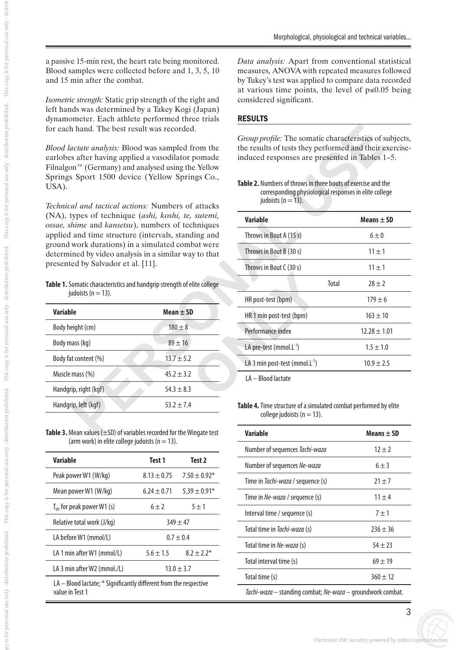a passive 15-min rest, the heart rate being monitored. Blood samples were collected before and 1, 3, 5, 10 and 15 min after the combat.

*Isometric strength:* Static grip strength of the right and left hands was determined by a Takey Kogi (Japan) dynamometer. Each athlete performed three trials for each hand. The best result was recorded.

*Blood lactate analysis:* Blood was sampled from the earlobes after having applied a vasodilator pomade Filnalgon<sup>™</sup> (Germany) and analysed using the Yellow Springs Sport 1500 device (Yellow Springs Co., USA).

*Technical and tactical actions:* Numbers of attacks (NA), types of technique (*ashi, koshi, te, sutemi, ossae, shime* and *kansetsu*), numbers of techniques applied and time structure (intervals, standing and ground work durations) in a simulated combat were determined by video analysis in a similar way to that presented by Salvador et al. [11].

**Table 1.** Somatic characteristics and handgrip strength of elite college judoists ( $n = 13$ ).

| <b>Variable</b>       | $Mean \pm SD$  |
|-----------------------|----------------|
| Body height (cm)      | $180 + 8$      |
| Body mass (kg)        | $89 + 16$      |
| Body fat content (%)  | $13.7 \pm 5.2$ |
| Muscle mass (%)       | $45.2 \pm 3.2$ |
| Handgrip, right (kgf) | $54.3 + 8.3$   |
| Handgrip, left (kgf)  | $53.2 + 7.4$   |

**Table 3.** Mean values (±SD) of variables recorded for the Wingate test (arm work) in elite college judoists ( $n = 13$ ).

| Variable                                                                | Test 1          | Test 2           |
|-------------------------------------------------------------------------|-----------------|------------------|
| Peak power W1 (W/kg)                                                    | $8.13 \pm 0.75$ | $7.50 \pm 0.92*$ |
| Mean power W1 (W/kg)                                                    | $6.24 \pm 0.71$ | $5.39 \pm 0.91*$ |
| $T_{\rm att}$ for peak power W1 (s)                                     | $6 \pm 2$       | $5 \pm 1$        |
| Relative total work (J/kg)                                              | $349 + 47$      |                  |
| LA before W1 (mmol/L)                                                   | $0.7 \pm 0.4$   |                  |
| LA 1 min after W1 (mmol/L)                                              | $5.6 \pm 1.5$   | $8.2 \pm 2.2^*$  |
| LA 3 min after W2 (mmol./L)                                             | $13.0 \pm 3.7$  |                  |
| $I_A = R$ lood lactate: $*$ Significantly different from the respective |                 |                  |

ictate; " Significantly different from the respective value in Test 1

*Data analysis:* Apart from conventional statistical measures, ANOVA with repeated measures followed by Tukey's test was applied to compare data recorded at various time points, the level of  $p \le 0.05$  being considered significant.

#### RESULTS

**Table 2.** Numbers of throws in three bouts of exercise and the corresponding physiological responses in elite college judoists ( $n = 13$ ).

|                                                                                                                                                                                                                                  | hand. The best result was recorded.                                                          |                                                                                                                                                                                                                                                                                                                           |                  |  |
|----------------------------------------------------------------------------------------------------------------------------------------------------------------------------------------------------------------------------------|----------------------------------------------------------------------------------------------|---------------------------------------------------------------------------------------------------------------------------------------------------------------------------------------------------------------------------------------------------------------------------------------------------------------------------|------------------|--|
| ctate analysis: Blood was sampled from the<br>s after having applied a vasodilator pomade<br>n™ (Germany) and analysed using the Yellow<br>Sport 1500 device (Yellow Springs Co.,<br>al and tactical actions: Numbers of attacks |                                                                                              | Group profile: The somatic characteristics of subjects,<br>the results of tests they performed and their exercise-<br>induced responses are presented in Tables 1–5.<br>Table 2. Numbers of throws in three bouts of exercise and the<br>corresponding physiological responses in elite college<br>judoists ( $n = 13$ ). |                  |  |
|                                                                                                                                                                                                                                  | ypes of technique (ashi, koshi, te, sutemi,                                                  | <b>Variable</b>                                                                                                                                                                                                                                                                                                           | Means $\pm$ SD   |  |
| ime and kansetsu), numbers of techniques<br>and time structure (intervals, standing and                                                                                                                                          |                                                                                              | Throws in Bout A (15 s)                                                                                                                                                                                                                                                                                                   | $6 \pm 0$        |  |
|                                                                                                                                                                                                                                  | work durations) in a simulated combat were<br>ned by video analysis in a similar way to that | Throws in Bout B (30 s)                                                                                                                                                                                                                                                                                                   | $11 \pm 1$       |  |
| ed by Salvador et al. [11].                                                                                                                                                                                                      |                                                                                              | Throws in Bout C (30 s)                                                                                                                                                                                                                                                                                                   | $11 \pm 1$       |  |
|                                                                                                                                                                                                                                  | omatic characteristics and handgrip strength of elite college                                | Total                                                                                                                                                                                                                                                                                                                     | $28 \pm 2$       |  |
| doists ( $n = 13$ ).                                                                                                                                                                                                             |                                                                                              | HR post-test (bpm)                                                                                                                                                                                                                                                                                                        | $179 \pm 6$      |  |
| е                                                                                                                                                                                                                                | Mean $\pm$ SD                                                                                | HR 1 min post-test (bpm)                                                                                                                                                                                                                                                                                                  | $163 \pm 10$     |  |
| ight (cm)                                                                                                                                                                                                                        | $180 \pm 8$                                                                                  | Performance index                                                                                                                                                                                                                                                                                                         | $12.28 \pm 1.01$ |  |
| ass (kg)                                                                                                                                                                                                                         | $89 \pm 16$                                                                                  | LA pre-test (mmol.L <sup>-1</sup> )                                                                                                                                                                                                                                                                                       | $1.5 \pm 1.0$    |  |
| t content (%)                                                                                                                                                                                                                    | $13.7 \pm 5.2$                                                                               | LA 3 min post-test (mmol. $L^{-1}$ )                                                                                                                                                                                                                                                                                      | $10.9 \pm 2.5$   |  |
| mass (%)                                                                                                                                                                                                                         | $45.2 \pm 3.2$                                                                               | LA - Blood lactate                                                                                                                                                                                                                                                                                                        |                  |  |
| p, right (kgf)                                                                                                                                                                                                                   | $54.3 \pm 8.3$                                                                               |                                                                                                                                                                                                                                                                                                                           |                  |  |
| p, left (kgf)                                                                                                                                                                                                                    | $53.2 \pm 7.4$                                                                               | Table 4. Time structure of a simulated combat performed by elite<br>college judoists ( $n = 13$ ).                                                                                                                                                                                                                        |                  |  |
|                                                                                                                                                                                                                                  | lean values $(\pm$ SD) of variables recorded for the Wingate test                            | <b>Variable</b>                                                                                                                                                                                                                                                                                                           | Means $\pm$ SD   |  |

**Table 4.** Time structure of a simulated combat performed by elite college judoists ( $n = 13$ ).

| Variable                                                   | Means $\pm$ SD |  |
|------------------------------------------------------------|----------------|--|
| Number of sequences Tachi-waza                             | $12 + 2$       |  |
| Number of sequences Ne-waza                                | $6 \pm 3$      |  |
| Time in Tachi-waza / seguence (s)                          | $71 + 7$       |  |
| Time in Ne-waza / sequence (s)                             | $11 + 4$       |  |
| Interval time / sequence (s)                               | $7 + 1$        |  |
| Total time in Tachi-waza (s)                               | $736 + 36$     |  |
| Total time in Ne-waza (s)                                  | $54 + 23$      |  |
| Total interval time (s)                                    | $69 \pm 19$    |  |
| Total time (s)                                             | $360 \pm 12$   |  |
| Tachi-waza - standing combat; Ne-waza - groundwork combat. |                |  |

Electronic PDF security powered by IndexCopernicus.com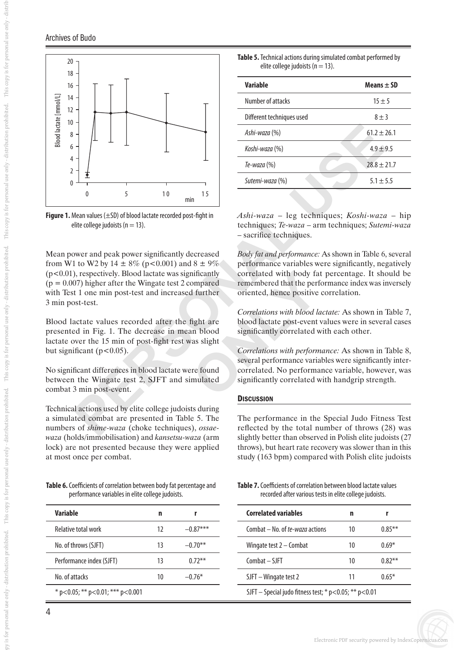# Archives of Budo

This copy is for personal use only - distril



**Figure 1.** Mean values (±SD) of blood lactate recorded post-fight in elite college judoists ( $n = 13$ ).

Mean power and peak power significantly decreased from W1 to W2 by 14  $\pm$  8% (p<0.001) and 8  $\pm$  9%  $(p<0.01)$ , respectively. Blood lactate was significantly  $(p = 0.007)$  higher after the Wingate test 2 compared with Test 1 one min post-test and increased further 3 min post-test.

Blood lactate values recorded after the fight are presented in Fig. 1. The decrease in mean blood lactate over the 15 min of post-fight rest was slight but significant ( $p < 0.05$ ).

No significant differences in blood lactate were found between the Wingate test 2, SJFT and simulated combat 3 min post-event.

Technical actions used by elite college judoists during a simulated combat are presented in Table 5. The numbers of *shime-waza* (choke techniques), *ossaewaza* (holds/immobilisation) and *kansetsu-waza* (arm lock) are not presented because they were applied at most once per combat.

**Table 6.** Coefficients of correlation between body fat percentage and performance variables in elite college judoists.

| Variable                                 | n  |            |
|------------------------------------------|----|------------|
| Relative total work                      | 12 | $-0.87***$ |
| No. of throws (SJFT)                     | 13 | $-0.70**$  |
| Performance index (SJFT)                 | 13 | $0.72***$  |
| No. of attacks                           | 10 | $-0.76*$   |
| * $p<0.05$ ; ** $p<0.01$ ; *** $p<0.001$ |    |            |

| <b>Table 5.</b> Technical actions during simulated combat performed by |  |
|------------------------------------------------------------------------|--|
| elite college judoists ( $n = 13$ ).                                   |  |

| Variable                  | Means $\pm$ SD  |
|---------------------------|-----------------|
| Number of attacks         | $15 \pm 5$      |
| Different techniques used | $8 + 3$         |
| Ashi-waza (%)             | $61.2 + 26.1$   |
| Koshi-waza (%)            | $4.9 \pm 9.5$   |
| Te-waza (%)               | $28.8 \pm 21.7$ |
| Sutemi-waza (%)           | $5.1 + 5.5$     |

*Ashi-waza* – leg techniques; *Koshi-waza* – hip techniques; *Te-waza* – arm techniques; *Sutemi-waza*  – sacrifice techniques.

*Body fat and performance:* As shown in Table 6, several performance variables were significantly, negatively correlated with body fat percentage. It should be remembered that the performance index was inversely oriented, hence positive correlation.

*Correlations with blood lactate:* As shown in Table 7, blood lactate post-event values were in several cases significantly correlated with each other.

*Correlations with performance:* As shown in Table 8, several performance variables were significantly intercorrelated. No performance variable, however, was significantly correlated with handgrip strength.

### **DISCUSSION**

The performance in the Special Judo Fitness Test reflected by the total number of throws (28) was slightly better than observed in Polish elite judoists (27 throws), but heart rate recovery was slower than in this study (163 bpm) compared with Polish elite judoists

**Table 7.** Coefficients of correlation between blood lactate values recorded after various tests in elite college judoists.

| Correlated variables                                          | n  |           |
|---------------------------------------------------------------|----|-----------|
| Combat – No. of te-waza actions                               | 10 | $0.85***$ |
| Wingate test $2 -$ Combat                                     | 10 | በ 69*     |
| $Combat - SIFT$                                               | 10 | $0.87**$  |
| SJFT – Wingate test 2                                         |    | በ 65*     |
| SJFT – Special judo fitness test; * $p$ < 0.05; ** $p$ < 0.01 |    |           |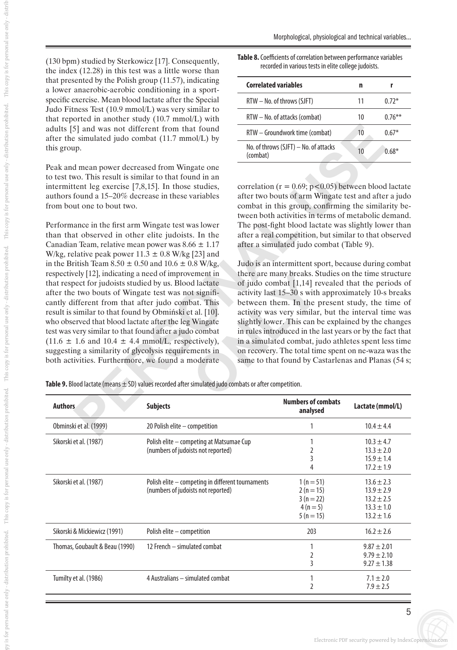Morphological, physiological and technical variables...

(130 bpm) studied by Sterkowicz [17]. Consequently, the index (12.28) in this test was a little worse than that presented by the Polish group (11.57), indicating a lower anaerobic-aerobic conditioning in a sportspecific exercise. Mean blood lactate after the Special Judo Fitness Test (10.9 mmol/L) was very similar to that reported in another study (10.7 mmol/L) with adults [5] and was not different from that found after the simulated judo combat (11.7 mmol/L) by this group.

Peak and mean power decreased from Wingate one to test two. This result is similar to that found in an intermittent leg exercise [7,8,15]. In those studies, authors found a 15–20% decrease in these variables from bout one to bout two.

**F**simulated judo combat if  $(11.7 \text{ mmol/L})$  by<br> **PERSONAL USERVENTS AND THE CONSULTS AND THE CONSULTS AND THE CONSULTS AND THE CONSULTS ARE CONSULTS AND THE SECTION OF THE POSET THAN USERVENTS CONSULTS AND THE LIGENCINE CO** Performance in the first arm Wingate test was lower than that observed in other elite judoists. In the Canadian Team, relative mean power was  $8.66 \pm 1.17$ W/kg, relative peak power  $11.3 \pm 0.8$  W/kg [23] and in the British Team  $8.50 \pm 0.50$  and  $10.6 \pm 0.8$  W/kg, respectively [12], indicating a need of improvement in that respect for judoists studied by us. Blood lactate after the two bouts of Wingate test was not signifi cantly different from that after judo combat. This result is similar to that found by Obmiński et al. [10]. who observed that blood lactate after the leg Wingate test was very similar to that found after a judo combat  $(11.6 \pm 1.6$  and  $10.4 \pm 4.4$  mmol/L, respectively), suggesting a similarity of glycolysis requirements in both activities. Furthermore, we found a moderate

| Table 8. Coefficients of correlation between performance variables |  |
|--------------------------------------------------------------------|--|
| recorded in various tests in elite college judoists.               |  |

| <b>Correlated variables</b>                       | n  |           |
|---------------------------------------------------|----|-----------|
| $RTW - No.$ of throws (SJFT)                      | 11 | $0.72*$   |
| $RTW - No.$ of attacks (combat)                   | 10 | $0.76***$ |
| RTW - Groundwork time (combat)                    | 10 | $0.67*$   |
| No. of throws (SJFT) - No. of attacks<br>(combat) | 10 | $0.68*$   |
|                                                   |    |           |

correlation ( $r = 0.69$ ;  $p < 0.05$ ) between blood lactate after two bouts of arm Wingate test and after a judo combat in this group, confirming the similarity be tween both activities in terms of metabolic demand. The post-fight blood lactate was slightly lower than after a real competition, but similar to that observed after a simulated judo combat (Table 9).

Judo is an intermittent sport, because during combat there are many breaks. Studies on the time structure of judo combat [1,14] revealed that the periods of activity last 15–30 s with approximately 10-s breaks between them. In the present study, the time of activity was very similar, but the interval time was slightly lower. This can be explained by the changes in rules introduced in the last years or by the fact that in a simulated combat, judo athletes spent less time on recovery. The total time spent on ne-waza was the same to that found by Castarlenas and Planas (54 s;

**Table 9.** Blood lactate (means ± SD) values recorded after simulated judo combats or after competition.

| <b>Authors</b>                 | <b>Subjects</b>                                                                         | <b>Numbers of combats</b><br>analysed                        | Lactate (mmol/L)                                                                       |
|--------------------------------|-----------------------------------------------------------------------------------------|--------------------------------------------------------------|----------------------------------------------------------------------------------------|
| Obminski et al. (1999)         | 20 Polish elite - competition                                                           |                                                              | $10.4 \pm 4.4$                                                                         |
| Sikorski et al. (1987)         | Polish elite - competing at Matsumae Cup<br>(numbers of judoists not reported)          | 2<br>3<br>4                                                  | $10.3 \pm 4.7$<br>$13.3 \pm 2.0$<br>$15.9 \pm 1.4$<br>$17.2 \pm 1.9$                   |
| Sikorski et al. (1987)         | Polish elite – competing in different tournaments<br>(numbers of judoists not reported) | $1(n=51)$<br>$2(n=15)$<br>$3(n=22)$<br>$4(n=5)$<br>$5(n=15)$ | $13.6 \pm 2.3$<br>$13.9 \pm 2.9$<br>$13.2 \pm 2.5$<br>$13.3 \pm 1.0$<br>$13.2 \pm 1.6$ |
| Sikorski & Mickiewicz (1991)   | Polish elite - competition                                                              | 203                                                          | $16.2 \pm 2.6$                                                                         |
| Thomas, Goubault & Beau (1990) | 12 French - simulated combat                                                            | 1<br>$\overline{2}$<br>$\overline{3}$                        | $9.87 \pm 2.01$<br>$9.79 \pm 2.10$<br>$9.27 \pm 1.38$                                  |
| Tumilty et al. (1986)          | 4 Australians - simulated combat                                                        | 1<br>2                                                       | $7.1 \pm 2.0$<br>$7.9 \pm 2.5$                                                         |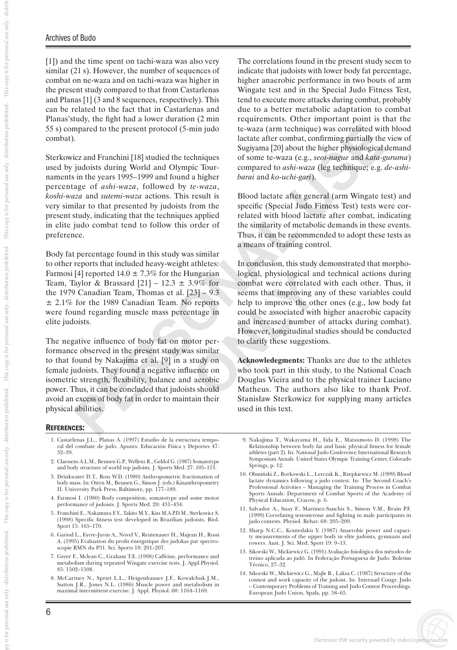## Archives of Budo

[1]) and the time spent on tachi-waza was also very similar (21 s). However, the number of sequences of combat on ne-waza and on tachi-waza was higher in the present study compared to that from Castarlenas and Planas [1] (3 and 8 sequences, respectively). This can be related to the fact that in Castarlenas and Planas'study, the fight had a lower duration (2 min 55 s) compared to the present protocol (5-min judo combat).

Sterkowicz and Franchini [18] studied the techniques used by judoists during World and Olympic Tournaments in the years 1995–1999 and found a higher percentage of *ashi-waza*, followed by *te-waza*, *koshi-waza* and *sutemi-waza* actions. This result is very similar to that presented by judoists from the present study, indicating that the techniques applied in elite judo combat tend to follow this order of preference.

Body fat percentage found in this study was similar to other reports that included heavy-weight athletes: Farmosi [4] reported  $14.0 \pm 7.3\%$  for the Hungarian Team, Taylor & Brassard  $[21]$  – 12.3  $\pm$  3.9% for the 1979 Canadian Team, Thomas et al. [23] – 9.3 ± 2.1% for the 1989 Canadian Team. No reports were found regarding muscle mass percentage in elite judoists.

The negative influence of body fat on motor performance observed in the present study was similar to that found by Nakajima et al. [9] in a study on female judoists. They found a negative influence on isometric strength, flexibility, balance and aerobic power. Thus, it can be concluded that judoists should avoid an excess of body fat in order to maintain their physical abilities.

The correlations found in the present study seem to indicate that judoists with lower body fat percentage, higher anaerobic performance in two bouts of arm Wingate test and in the Special Judo Fitness Test, tend to execute more attacks during combat, probably due to a better metabolic adaptation to combat requirements. Other important point is that the te-waza (arm technique) was correlated with blood lactate after combat, confirming partially the view of Sugiyama [20] about the higher physiological demand of some te-waza (e.g., *seoi-nague* and *kata-guruma*) compared to *ashi-waza* (leg technique; e.g. *de-ashibarai* and *ko-uchi-gari*).

Blood lactate after general (arm Wingate test) and specific (Special Judo Fitness Test) tests were correlated with blood lactate after combat, indicating the similarity of metabolic demands in these events. Thus, it can be recommended to adopt these tests as a means of training control.

mpared to the present protocol (5-min judo<br>
Lewaza (arm technique) was correlated with bigher<br>
inc.<br>
inc.<br>
inc.<br>
inc.<br>
inc.<br>
inc.<br>
inc.<br>
inc.<br>
inc.<br>
inc.<br>
inc.<br>
inc.<br>
inc.<br>
inc.<br>
inc.<br>
inc.<br>
inc.<br>
inc.<br>
inc.<br>
inc.<br>
inc.<br>
i In conclusion, this study demonstrated that morphological, physiological and technical actions during combat were correlated with each other. Thus, it seems that improving any of these variables could help to improve the other ones (e.g., low body fat could be associated with higher anaerobic capacity and increased number of attacks during combat). However, longitudinal studies should be conducted to clarify these suggestions.

**Acknowledegments:** Thanks are due to the athletes who took part in this study, to the National Coach Douglas Vieira and to the physical trainer Luciano Matheus. The authors also like to thank Prof. Stanisław Sterkowicz for supplying many articles used in this text.

# REFERENCES :

- 1. Castarlenas J.L., Planas A. (1997) Estudio de la estructura tempo ral del combate de judo. Apunts: Educación Física y Deportes 47: 32–39.
- 2. Claessens A.L.M., Beunen G.P., Wellens R., Geldof G. (1987) Somatotype and body structure of world top judoists. J. Sports Med. 27: 105–113.
- 3. Drinkwater D.T., Ross W.D. (1980) Anthropometric fractionation of body mass. In: Ostyn M., Beunen G., Simon J. (eds.) Kinanthropometry II. University Park Press, Baltimore, pp. 177–189.
- 4. Farmosi I. (1980) Body composition, somatotype and some motor performance of judoists. J. Sports Med. 20: 431–434.
- 5. Franchini E., Nakamura F.Y., Takito M.Y., Kiss M.A.P.D.M., Sterkowicz S. (1998) Specific fitness test developed in Brazilian judoists. Biol. Sport 15: 165–170.
- 6. Gariod L., Favre-Juvin A., Novel V., Reutenauer H., Majean H., Rossi A. (1995) Evaluation du profit énergetique des judokas par spectro scopie RMN du P31. Sci. Sports 10: 201–207.
- 7. Greer F., Mclean C., Graham T.E. (1998) Caffeine, performance and metabolism during repeated Wingate exercise tests. J. Appl.Physiol. 85: 1502–1508.
- 8. McCartney N., Spriet L.L., Heigenhauser J.F., Kowalchuk J.M., Sutton J.R., Jones N.L. (1986) Muscle power and metabolism in maximal intermittent exercise. J. Appl. Physiol. 60: 1164–1169.
- 9. Nakajima T., Wakayama H., Iida E., Matsumoto D. (1998) The Relationship between body fat and basic physical fitness for female athletes (part 2). In: National Judo Conference International Research Symposium Annals. United States Olympic Training Center, Colorado Springs, p. 12.
- 10. Obmiƒski Z., Borkowski L., Lerczak K., Rzepkiewicz M. (1999) Blood lactate dynamics following a judo contest. In: The Second Coach's Professional Activities – Managing the Training Process in Combat Sports Annals. Department of Combat Sports of the Academy of Physical Education, Cracow, p. 6.
- 11. Salvador A., Suay F., Martinez-Sanchis S., Simon V.M., Brain P.F. (1999) Correlating testosterone and fighting in male participants in judo contests. Physiol. Behav. 68: 205–209.
- 12. Sharp N.C.C., Koutedakis Y. (1987) Anaerobic power and capaci ty measurements of the upper body in elite judoists, gymnasts and rowers. Aust. J. Sci. Med. Sport 19: 9–13.
- 13. Sikorski W., Mickiewicz G. (1991) Avalia ção fisiológica dos métodos de treino aplicada ao judô. In Federa ção Portuguesa de Judo: Boletim Técnico, 27–32.
- 14. Sikorski W., Mickiewicz G., Majle B., Laksa C. (1987) Structure of the contest and work capacity of the judoist. In: Internatl Congr. Judo – Contemporary Problems of Training and Judo Contest Proceedings. European Judo Union, Spała, pp. 58–65.